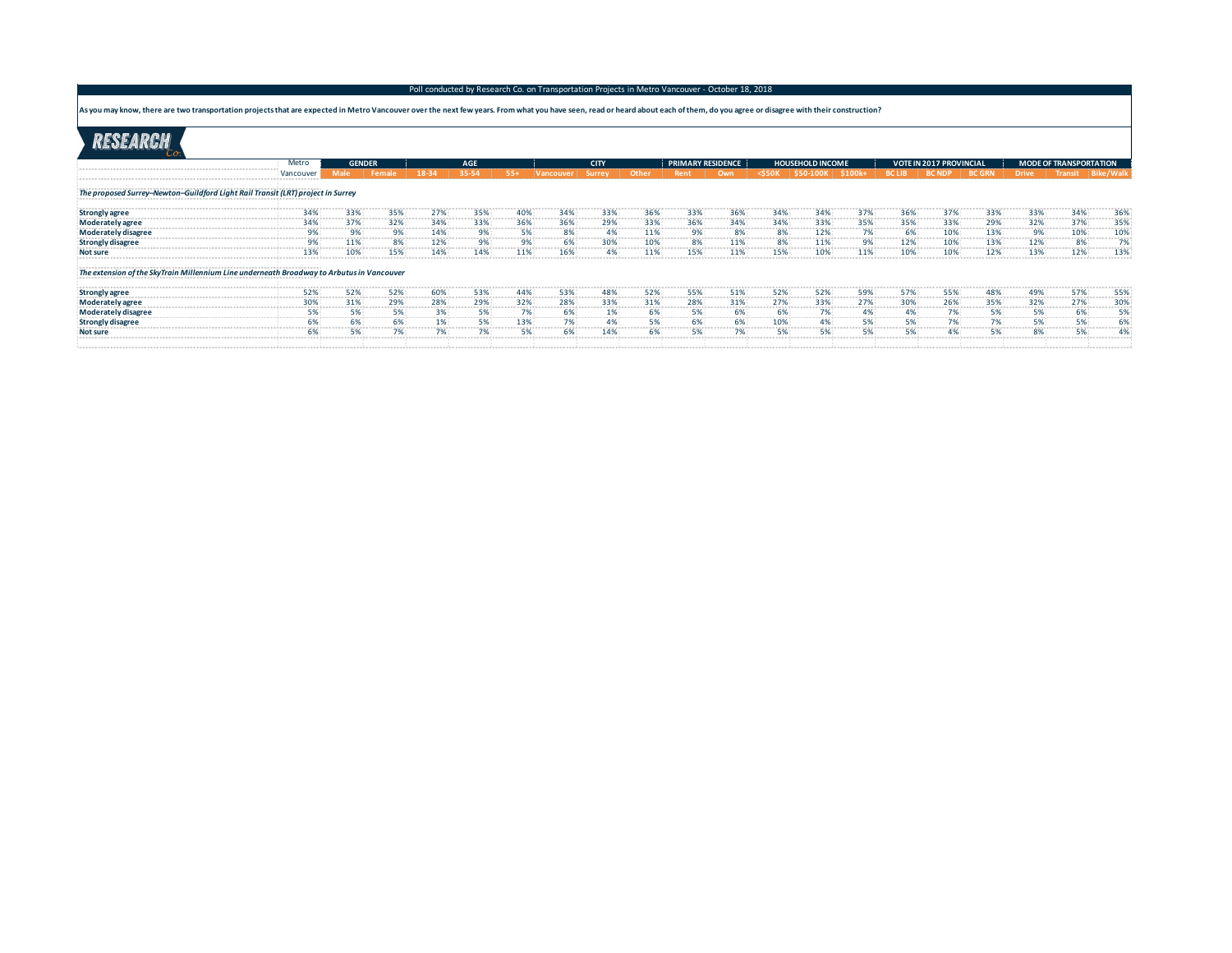## Poll conducted by Research Co. on Transportation Projects in Metro Vancouver - October 18, 2018

As you may know, there are two transportation projects that are expected in Metro Vancouver over the next few years. From what you have seen, read or heard about each of them, do you agree or disagree with their constructi

|                                                                                             | Metro<br><b>GENDER</b>           |            |          |              | AGE                                        |            |                                             | <b>CITY</b>  |              |                  | <b>PRIMARY RESIDENCE</b> |               | <b>HOUSEHOLD INCOME</b>        |                 |               | <b>VOTE IN 2017 PROVINCIAL</b> |   |             | <b>MODE OF</b>                      |           |  |
|---------------------------------------------------------------------------------------------|----------------------------------|------------|----------|--------------|--------------------------------------------|------------|---------------------------------------------|--------------|--------------|------------------|--------------------------|---------------|--------------------------------|-----------------|---------------|--------------------------------|---|-------------|-------------------------------------|-----------|--|
|                                                                                             |                                  |            |          |              | 35-54                                      | $55+$      | Vancouver Surrey                            |              | Other : Rent |                  | Own                      | $<$ \$50K     | $\frac{1}{2}$ \$50-100K        |                 | <b>BC LIB</b> | <b>BC NDP</b>                  |   |             |                                     |           |  |
|                                                                                             |                                  |            |          |              |                                            |            |                                             |              |              |                  |                          |               |                                |                 |               |                                |   |             |                                     |           |  |
| .<br>The proposed Surrey-Newton-Guildford Light Rail Transit (LRT) project in Surrey        |                                  |            |          |              |                                            |            |                                             |              |              |                  |                          |               |                                |                 |               |                                |   |             |                                     |           |  |
| Strongly agree<br>Moderately agree                                                          |                                  | <b></b>    | 35%<br>. | 100001010    | 35%<br><b><i><u>ARABAS EN 1999</u></i></b> | .          | 34%<br><b><i><u>P.O. B. P.O. B.</u></i></b> | 33%<br>.     | 36%<br>.     | 33%<br>.         | 36%<br>.                 | .             | <b><i><u>PERMITTEE</u></i></b> | 37%<br>-------- | 36%<br>.      | <b></b>                        | . | .           | <b></b>                             | 36%       |  |
|                                                                                             |                                  |            |          |              |                                            |            |                                             |              |              |                  |                          |               | . <i>.</i>                     | ------------    | . <b>.</b>    | . 7.                           |   |             |                                     | 35%       |  |
| Moderately disagree<br>- %99 Moderately disagree                                            |                                  | .          |          | .            |                                            | .          |                                             | --------     |              |                  |                          |               | .                              | --------        |               | . 7                            |   |             |                                     | --------- |  |
| Strongly disagree<br>---------------------------                                            |                                  | 11%        | 8%       | 12%          |                                            |            |                                             | 30%          | 10%          | 8%               | 11%                      | 8%            | 11%                            | 9%              | 12%           | 10%                            |   |             |                                     |           |  |
| <b>Not sure</b>                                                                             |                                  |            |          |              |                                            |            |                                             |              |              |                  |                          |               |                                |                 |               |                                |   |             |                                     | 13%       |  |
| The extension of the SkyTrain Millennium Line underneath Broadway to Arbutus in Vancouver T |                                  |            |          |              |                                            |            |                                             |              |              |                  |                          |               |                                |                 |               |                                |   |             |                                     |           |  |
|                                                                                             |                                  |            | 52%      |              |                                            |            |                                             |              |              |                  |                          |               |                                |                 |               |                                |   |             |                                     | 55%       |  |
| Strongly agree<br>Moderately agree                                                          |                                  |            |          | ------------ | .                                          | .          | . <del>.</del>                              | ------------ | ------------ | ---------<br>28% | -------------<br>31%     | ------------  | ---------<br>33%               | .               | . 6           | . 7                            |   |             | .                                   | .         |  |
| Moderately disagree                                                                         | -------------------------------- |            | .        | .            |                                            | ---------- | ------------                                | .            |              |                  |                          | ------------- | .                              | .               | .             | ----------                     |   | ----------- | ----------                          |           |  |
| <b>Strongly disagree</b>                                                                    |                                  | ---------- | .        | .            |                                            | -------    |                                             | .            | .            |                  | --------                 | ---------     | .                              | .               | .             | .                              | . |             | ----------------------------------- |           |  |
| <b>Not sure</b>                                                                             |                                  |            |          |              |                                            |            |                                             |              |              |                  |                          |               |                                |                 |               |                                |   |             |                                     |           |  |
|                                                                                             |                                  |            |          |              |                                            |            |                                             |              |              |                  |                          |               |                                |                 |               |                                |   |             |                                     |           |  |